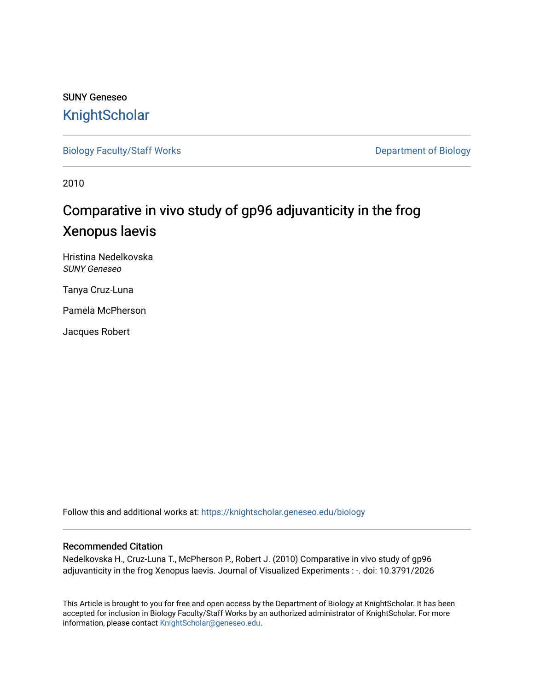## SUNY Geneseo **[KnightScholar](https://knightscholar.geneseo.edu/)**

[Biology Faculty/Staff Works](https://knightscholar.geneseo.edu/biology) **Department of Biology** 

2010

# Comparative in vivo study of gp96 adjuvanticity in the frog Xenopus laevis

Hristina Nedelkovska SUNY Geneseo

Tanya Cruz-Luna

Pamela McPherson

Jacques Robert

Follow this and additional works at: [https://knightscholar.geneseo.edu/biology](https://knightscholar.geneseo.edu/biology?utm_source=knightscholar.geneseo.edu%2Fbiology%2F38&utm_medium=PDF&utm_campaign=PDFCoverPages) 

#### Recommended Citation

Nedelkovska H., Cruz-Luna T., McPherson P., Robert J. (2010) Comparative in vivo study of gp96 adjuvanticity in the frog Xenopus laevis. Journal of Visualized Experiments : -. doi: 10.3791/2026

This Article is brought to you for free and open access by the Department of Biology at KnightScholar. It has been accepted for inclusion in Biology Faculty/Staff Works by an authorized administrator of KnightScholar. For more information, please contact [KnightScholar@geneseo.edu.](mailto:KnightScholar@geneseo.edu)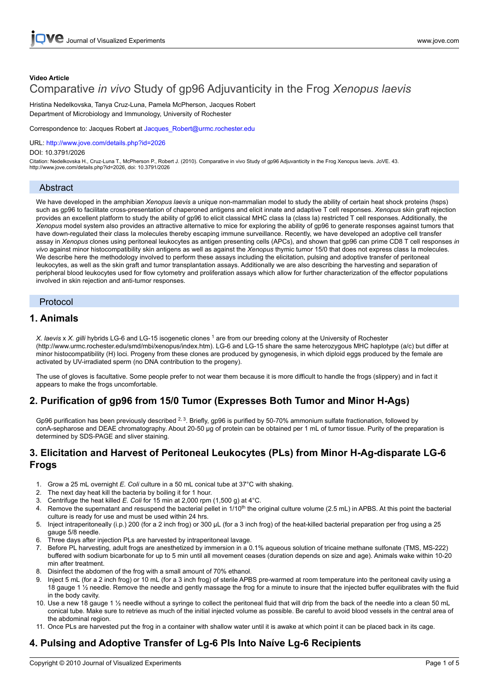## **Video Article** Comparative *in vivo* Study of gp96 Adjuvanticity in the Frog *Xenopus laevis*

Hristina Nedelkovska, Tanya Cruz-Luna, Pamela McPherson, Jacques Robert Department of Microbiology and Immunology, University of Rochester

Correspondence to: Jacques Robert at Jacques\_Robert@urmc.rochester.edu

URL: <http://www.jove.com/details.php?id=2026>

DOI: 10.3791/2026

Citation: Nedelkovska H., Cruz-Luna T., McPherson P., Robert J. (2010). Comparative in vivo Study of gp96 Adjuvanticity in the Frog Xenopus laevis. JoVE. 43. http://www.jove.com/details.php?id=2026, doi: 10.3791/2026

#### Abstract

We have developed in the amphibian *Xenopus laevis* a unique non-mammalian model to study the ability of certain heat shock proteins (hsps) such as gp96 to facilitate cross-presentation of chaperoned antigens and elicit innate and adaptive T cell responses. *Xenopus* skin graft rejection provides an excellent platform to study the ability of gp96 to elicit classical MHC class Ia (class Ia) restricted T cell responses. Additionally, the *Xenopus* model system also provides an attractive alternative to mice for exploring the ability of gp96 to generate responses against tumors that have down-regulated their class Ia molecules thereby escaping immune surveillance. Recently, we have developed an adoptive cell transfer assay in *Xenopus* clones using peritoneal leukocytes as antigen presenting cells (APCs), and shown that gp96 can prime CD8 T cell responses *in vivo* against minor histocompatibility skin antigens as well as against the *Xenopus* thymic tumor 15/0 that does not express class Ia molecules. We describe here the methodology involved to perform these assays including the elicitation, pulsing and adoptive transfer of peritoneal leukocytes, as well as the skin graft and tumor transplantation assays. Additionally we are also describing the harvesting and separation of peripheral blood leukocytes used for flow cytometry and proliferation assays which allow for further characterization of the effector populations involved in skin rejection and anti-tumor responses.

#### Protocol

#### **1. Animals**

*X. laevis* x *X. gilli* hybrids LG-6 and LG-15 isogenetic clones <sup>1</sup> are from our breeding colony at the University of Rochester (http://www.urmc.rochester.edu/smd/mbi/xenopus/index.htm). LG-6 and LG-15 share the same heterozygous MHC haplotype (a/c) but differ at minor histocompatibility (H) loci. Progeny from these clones are produced by gynogenesis, in which diploid eggs produced by the female are activated by UV-irradiated sperm (no DNA contribution to the progeny).

The use of gloves is facultative. Some people prefer to not wear them because it is more difficult to handle the frogs (slippery) and in fact it appears to make the frogs uncomfortable.

## **2. Purification of gp96 from 15/0 Tumor (Expresses Both Tumor and Minor H-Ags)**

Gp96 purification has been previously described <sup>2, 3</sup>. Briefly, gp96 is purified by 50-70% ammonium sulfate fractionation, followed by conA-sepharose and DEAE chromatography. About 20-50 μg of protein can be obtained per 1 mL of tumor tissue. Purity of the preparation is determined by SDS-PAGE and sliver staining.

#### **3. Elicitation and Harvest of Peritoneal Leukocytes (PLs) from Minor H-Ag-disparate LG-6 Frogs**

- 1. Grow a 25 mL overnight *E. Coli* culture in a 50 mL conical tube at 37°C with shaking.
- 2. The next day heat kill the bacteria by boiling it for 1 hour.
- 3. Centrifuge the heat killed *E. Coli* for 15 min at 2,000 rpm (1,500 g) at 4°C.
- 4. Remove the supernatant and resuspend the bacterial pellet in 1/10<sup>th</sup> the original culture volume (2.5 mL) in APBS. At this point the bacterial culture is ready for use and must be used within 24 hrs.
- 5. Inject intraperitoneally (i.p.) 200 (for a 2 inch frog) or 300 μL (for a 3 inch frog) of the heat-killed bacterial preparation per frog using a 25 gauge 5/8 needle.
- 6. Three days after injection PLs are harvested by intraperitoneal lavage.
- 7. Before PL harvesting, adult frogs are anesthetized by immersion in a 0.1% aqueous solution of tricaine methane sulfonate (TMS, MS-222) buffered with sodium bicarbonate for up to 5 min until all movement ceases (duration depends on size and age). Animals wake within 10-20 min after treatment.
- 8. Disinfect the abdomen of the frog with a small amount of 70% ethanol.
- 9. Inject 5 mL (for a 2 inch frog) or 10 mL (for a 3 inch frog) of sterile APBS pre-warmed at room temperature into the peritoneal cavity using a 18 gauge 1 ½ needle. Remove the needle and gently massage the frog for a minute to insure that the injected buffer equilibrates with the fluid in the body cavity.
- 10. Use a new 18 gauge 1 ½ needle without a syringe to collect the peritoneal fluid that will drip from the back of the needle into a clean 50 mL conical tube. Make sure to retrieve as much of the initial injected volume as possible. Be careful to avoid blood vessels in the central area of the abdominal region.
- 11. Once PLs are harvested put the frog in a container with shallow water until it is awake at which point it can be placed back in its cage.

## **4. Pulsing and Adoptive Transfer of Lg-6 Pls Into Naíve Lg-6 Recipients**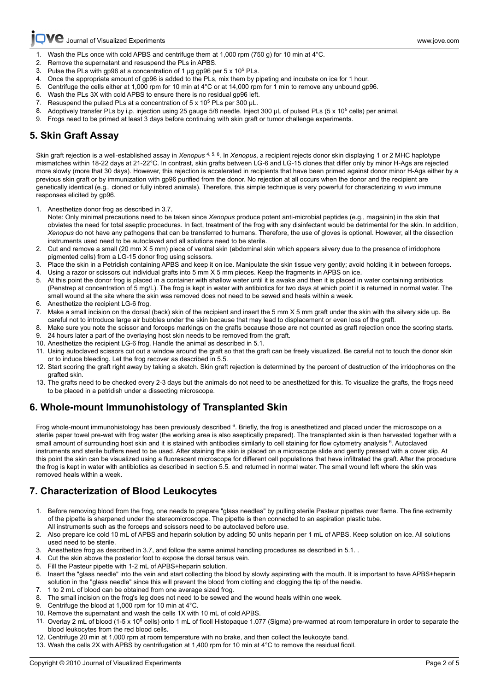## **Ve** [Journal of Visualized Experiments www.jove.com](http://www.jove.com)

- [1. Wash](http://www.jove.com) the PLs once with cold APBS and centrifuge them at 1,000 rpm (750 g) for 10 min at 4°C.
- 2. Remove the supernatant and resuspend the PLs in APBS.
- 3. Pulse the PLs with gp96 at a concentration of 1  $\mu$ g gp96 per 5 x 10<sup>5</sup> PLs.<br>4. Once the appropriate amount of gp96 is added to the PLs, mix them by p
- Once the appropriate amount of gp96 is added to the PLs, mix them by pipeting and incubate on ice for 1 hour.
- 5. Centrifuge the cells either at 1,000 rpm for 10 min at 4°C or at 14,000 rpm for 1 min to remove any unbound gp96.
- 6. Wash the PLs 3X with cold APBS to ensure there is no residual gp96 left.
- 7. Resuspend the pulsed PLs at a concentration of  $5 \times 10^5$  PLs per 300  $\mu$ L.
- 8. Adoptively transfer PLs by i.p. injection using 25 gauge 5/8 needle. Inject 300 uL of pulsed PLs (5 x 10<sup>5</sup> cells) per animal.
- 9. Frogs need to be primed at least 3 days before continuing with skin graft or tumor challenge experiments.

## **5. Skin Graft Assay**

Skin graft rejection is a well-established assay in *Xenopus* 4, 5, 6. In *Xenopus*, a recipient rejects donor skin displaying 1 or 2 MHC haplotype mismatches within 18-22 days at 21-22°C. In contrast, skin grafts between LG-6 and LG-15 clones that differ only by minor H-Ags are rejected more slowly (more that 30 days). However, this rejection is accelerated in recipients that have been primed against donor minor H-Ags either by a previous skin graft or by immunization with gp96 purified from the donor. No rejection at all occurs when the donor and the recipient are genetically identical (e.g., cloned or fully inbred animals). Therefore, this simple technique is very powerful for characterizing *in vivo* immune responses elicited by gp96.

- 1. Anesthetize donor frog as described in 3.7.
- Note: Only minimal precautions need to be taken since *Xenopus* produce potent anti-microbial peptides (e.g., magainin) in the skin that obviates the need for total aseptic procedures. In fact, treatment of the frog with any disinfectant would be detrimental for the skin. In addition, *Xenopus* do not have any pathogens that can be transferred to humans. Therefore, the use of gloves is optional. However, all the dissection instruments used need to be autoclaved and all solutions need to be sterile.
- 2. Cut and remove a small (20 mm X 5 mm) piece of ventral skin (abdominal skin which appears silvery due to the presence of irridophore pigmented cells) from a LG-15 donor frog using scissors.
- 3. Place the skin in a Petridish containing APBS and keep it on ice. Manipulate the skin tissue very gently; avoid holding it in between forceps.
- 4. Using a razor or scissors cut individual grafts into 5 mm X 5 mm pieces. Keep the fragments in APBS on ice.
- 5. At this point the donor frog is placed in a container with shallow water until it is awake and then it is placed in water containing antibiotics (Penstrep at concentration of 5 mg/L). The frog is kept in water with antibiotics for two days at which point it is returned in normal water. The small wound at the site where the skin was removed does not need to be sewed and heals within a week.
- 6. Anesthetize the recipient LG-6 frog.
- 7. Make a small incision on the dorsal (back) skin of the recipient and insert the 5 mm X 5 mm graft under the skin with the silvery side up. Be careful not to introduce large air bubbles under the skin because that may lead to displacement or even loss of the graft.
- 8. Make sure you note the scissor and forceps markings on the grafts because those are not counted as graft rejection once the scoring starts. 9. 24 hours later a part of the overlaying host skin needs to be removed from the graft.
- 10. Anesthetize the recipient LG-6 frog. Handle the animal as described in 5.1.
- 11. Using autoclaved scissors cut out a window around the graft so that the graft can be freely visualized. Be careful not to touch the donor skin or to induce bleeding. Let the frog recover as described in 5.5.
- 12. Start scoring the graft right away by taking a sketch. Skin graft rejection is determined by the percent of destruction of the irridophores on the grafted skin.
- 13. The grafts need to be checked every 2-3 days but the animals do not need to be anesthetized for this. To visualize the grafts, the frogs need to be placed in a petridish under a dissecting microscope.

### **6. Whole-mount Immunohistology of Transplanted Skin**

Frog whole-mount immunohistology has been previously described <sup>6</sup>. Briefly, the frog is anesthetized and placed under the microscope on a sterile paper towel pre-wet with frog water (the working area is also aseptically prepared). The transplanted skin is then harvested together with a small amount of surrounding host skin and it is stained with antibodies similarly to cell staining for flow cytometry analysis <sup>6</sup>. Autoclaved instruments and sterile buffers need to be used. After staining the skin is placed on a microscope slide and gently pressed with a cover slip. At this point the skin can be visualized using a fluorescent microscope for different cell populations that have infiltrated the graft. After the procedure the frog is kept in water with antibiotics as described in section 5.5. and returned in normal water. The small wound left where the skin was removed heals within a week.

### **7. Characterization of Blood Leukocytes**

- 1. Before removing blood from the frog, one needs to prepare "glass needles" by pulling sterile Pasteur pipettes over flame. The fine extremity of the pipette is sharpened under the stereomicroscope. The pipette is then connected to an aspiration plastic tube. All instruments such as the forceps and scissors need to be autoclaved before use.
- 2. Also prepare ice cold 10 mL of APBS and heparin solution by adding 50 units heparin per 1 mL of APBS. Keep solution on ice. All solutions used need to be sterile.
- 3. Anesthetize frog as described in 3.7, and follow the same animal handling procedures as described in 5.1. .
- 4. Cut the skin above the posterior foot to expose the dorsal tarsus vein.
- 5. Fill the Pasteur pipette with 1-2 mL of APBS+heparin solution.
- 6. Insert the "glass needle" into the vein and start collecting the blood by slowly aspirating with the mouth. It is important to have APBS+heparin solution in the "glass needle" since this will prevent the blood from clotting and clogging the tip of the needle.
- 7. 1 to 2 mL of blood can be obtained from one average sized frog.
- 8. The small incision on the frog's leg does not need to be sewed and the wound heals within one week.
- 9. Centrifuge the blood at 1,000 rpm for 10 min at 4°C.
- 10. Remove the supernatant and wash the cells 1X with 10 mL of cold APBS.
- 11. Overlay 2 mL of blood (1-5 x 10<sup>6</sup> cells) onto 1 mL of ficoll Histopaque 1.077 (Sigma) pre-warmed at room temperature in order to separate the blood leukocytes from the red blood cells.
- 12. Centrifuge 20 min at 1,000 rpm at room temperature with no brake, and then collect the leukocyte band.
- 13. Wash the cells 2X with APBS by centrifugation at 1,400 rpm for 10 min at 4°C to remove the residual ficoll.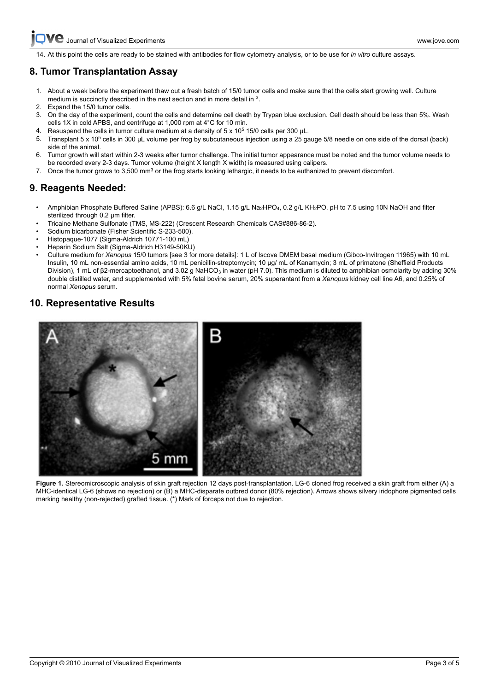[14. At this](http://www.jove.com) point the cells are ready to be stained with antibodies for flow cytometry analysis, or to be use for *in vitro* culture assays.

## **8. Tumor Transplantation Assay**

- 1. About a week before the experiment thaw out a fresh batch of 15/0 tumor cells and make sure that the cells start growing well. Culture medium is succinctly described in the next section and in more detail in <sup>3</sup>.
- 2. Expand the 15/0 tumor cells.
- 3. On the day of the experiment, count the cells and determine cell death by Trypan blue exclusion. Cell death should be less than 5%. Wash cells 1X in cold APBS, and centrifuge at 1,000 rpm at 4°C for 10 min.
- 4. Resuspend the cells in tumor culture medium at a density of  $5 \times 10^5$  15/0 cells per 300 µL.
- 5. Transplant 5 x 10<sup>5</sup> cells in 300 μL volume per frog by subcutaneous injection using a 25 gauge 5/8 needle on one side of the dorsal (back) side of the animal.
- 6. Tumor growth will start within 2-3 weeks after tumor challenge. The initial tumor appearance must be noted and the tumor volume needs to be recorded every 2-3 days. Tumor volume (height X length X width) is measured using calipers.
- 7. Once the tumor grows to 3,500 mm<sup>3</sup> or the frog starts looking lethargic, it needs to be euthanized to prevent discomfort.

## **9. Reagents Needed:**

- Amphibian Phosphate Buffered Saline (APBS): 6.6 g/L NaCl, 1.15 g/L Na<sub>2</sub>HPO<sub>4</sub>, 0.2 g/L KH<sub>2</sub>PO. pH to 7.5 using 10N NaOH and filter sterilized through 0.2 μm filter.
- Tricaine Methane Sulfonate (TMS, MS-222) (Crescent Research Chemicals CAS#886-86-2).
- Sodium bicarbonate (Fisher Scientific S-233-500).
- Histopaque-1077 (Sigma-Aldrich 10771-100 mL)
- Heparin Sodium Salt (Sigma-Aldrich H3149-50KU)
- Culture medium for *Xenopus* 15/0 tumors [see 3 for more details]: 1 L of Iscove DMEM basal medium (Gibco-Invitrogen 11965) with 10 mL Insulin, 10 mL non-essential amino acids, 10 mL penicillin-streptomycin; 10 μg/ mL of Kanamycin; 3 mL of primatone (Sheffield Products Division), 1 mL of β2-mercaptoethanol, and 3.02 g NaHCO<sub>3</sub> in water (pH 7.0). This medium is diluted to amphibian osmolarity by adding 30% double distilled water, and supplemented with 5% fetal bovine serum, 20% superantant from a *Xenopus* kidney cell line A6, and 0.25% of normal *Xenopus* serum.

#### **10. Representative Results**



Figure 1. Stereomicroscopic analysis of skin graft rejection 12 days post-transplantation. LG-6 cloned frog received a skin graft from either (A) a MHC-identical LG-6 (shows no rejection) or (B) a MHC-disparate outbred donor (80% rejection). Arrows shows silvery iridophore pigmented cells marking healthy (non-rejected) grafted tissue. (\*) Mark of forceps not due to rejection.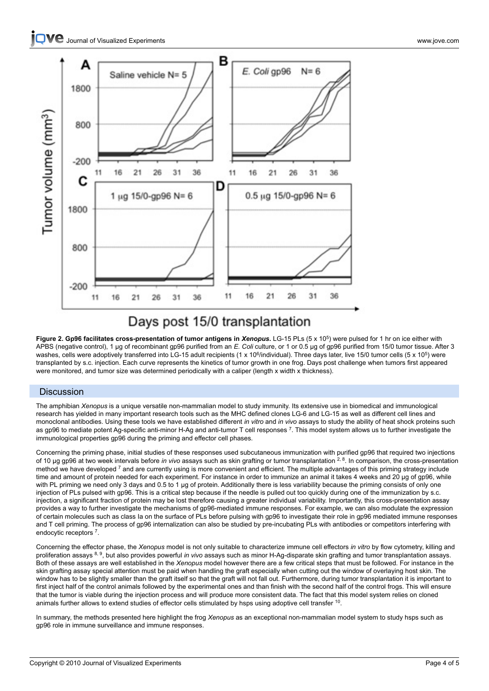

## Days post 15/0 transplantation

**Figure 2. Gp96 facilitates cross-presentation of tumor antigens in** *Xenopus***.** LG-15 PLs (5 x 10<sup>5</sup> ) were pulsed for 1 hr on ice either with APBS (negative control), 1 μg of recombinant gp96 purified from an *E. Coli* culture, or 1 or 0.5 μg of gp96 purified from 15/0 tumor tissue. After 3 washes, cells were adoptively transferred into LG-15 adult recipients (1 x 10<sup>6</sup>/individual). Three days later, live 15/0 tumor cells (5 x 10<sup>5</sup>) were transplanted by s.c. injection. Each curve represents the kinetics of tumor growth in one frog. Days post challenge when tumors first appeared were monitored, and tumor size was determined periodically with a caliper (length x width x thickness).

#### **Discussion**

The amphibian *Xenopus* is a unique versatile non-mammalian model to study immunity. Its extensive use in biomedical and immunological research has yielded in many important research tools such as the MHC defined clones LG-6 and LG-15 as well as different cell lines and monoclonal antibodies. Using these tools we have established different *in vitro* and *in vivo* assays to study the ability of heat shock proteins such as gp96 to mediate potent Ag-specific anti-minor H-Ag and anti-tumor T cell responses <sup>7</sup>. This model system allows us to further investigate the immunological properties gp96 during the priming and effector cell phases.

Concerning the priming phase, initial studies of these responses used subcutaneous immunization with purified gp96 that required two injections of 10 μg gp96 at two week intervals before *in vivo* assays such as skin grafting or tumor transplantation 2, 8. In comparison, the cross-presentation method we have developed<sup>7</sup> and are currently using is more convenient and efficient. The multiple advantages of this priming strategy include time and amount of protein needed for each experiment. For instance in order to immunize an animal it takes 4 weeks and 20 μg of gp96, while with PL priming we need only 3 days and 0.5 to 1 μg of protein. Additionally there is less variability because the priming consists of only one injection of PLs pulsed with gp96. This is a critical step because if the needle is pulled out too quickly during one of the immunization by s.c. injection, a significant fraction of protein may be lost therefore causing a greater individual variability. Importantly, this cross-presentation assay provides a way to further investigate the mechanisms of gp96-mediated immune responses. For example, we can also modulate the expression of certain molecules such as class Ia on the surface of PLs before pulsing with gp96 to investigate their role in gp96 mediated immune responses and T cell priming. The process of gp96 internalization can also be studied by pre-incubating PLs with antibodies or competitors interfering with endocytic receptors<sup>7</sup>.

Concerning the effector phase, the *Xenopus* model is not only suitable to characterize immune cell effectors *in vitro* by flow cytometry, killing and proliferation assays 8, 9, but also provides powerful *in vivo* assays such as minor H-Ag-disparate skin grafting and tumor transplantation assays. Both of these assays are well established in the *Xenopus* model however there are a few critical steps that must be followed. For instance in the skin grafting assay special attention must be paid when handling the graft especially when cutting out the window of overlaying host skin. The window has to be slightly smaller than the graft itself so that the graft will not fall out. Furthermore, during tumor transplantation it is important to first inject half of the control animals followed by the experimental ones and than finish with the second half of the control frogs. This will ensure that the tumor is viable during the injection process and will produce more consistent data. The fact that this model system relies on cloned animals further allows to extend studies of effector cells stimulated by hsps using adoptive cell transfer  $^{10}$ .

In summary, the methods presented here highlight the frog *Xenopus* as an exceptional non-mammalian model system to study hsps such as gp96 role in immune surveillance and immune responses.